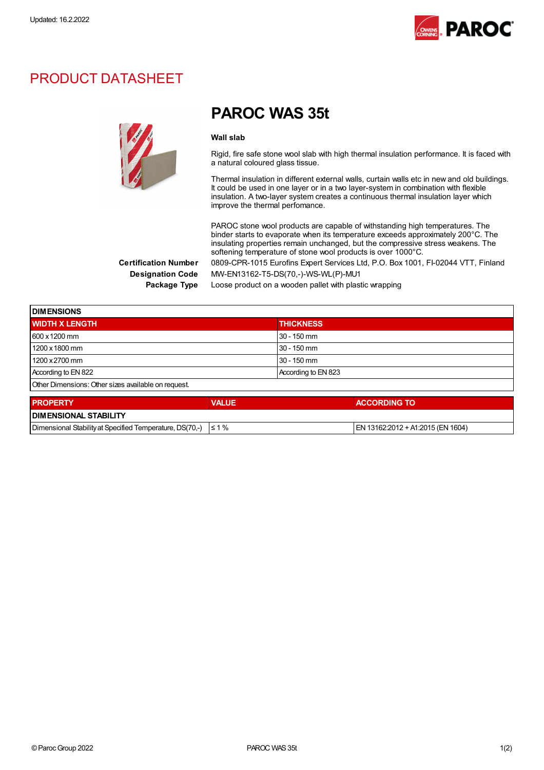

### PRODUCT DATASHEET



# PAROC WAS 35t

#### Wall slab

Rigid, fire safe stone wool slab with high thermal insulation performance. It is faced with a natural coloured glass tissue.

Thermal insulation in different external walls, curtain walls etc in new and old buildings. It could be used in one layer or in a two layer-system in combination with flexible insulation. A two-layer system creates a continuous thermal insulation layer which improve the thermal perfomance.

PAROC stone wool products are capable of withstanding high temperatures. The binder starts to evaporate when its temperature exceeds approximately 200°C. The insulating properties remain unchanged, but the compressive stress weakens. The softening temperature of stone wool products is over 1000°C. Certification Number 0809-CPR-1015 Eurofins Expert Services Ltd, P.O. Box 1001, FI-02044 VTT, Finland

Designation Code MW-EN13162-T5-DS(70,-)-WS-WL(P)-MU1

Package Type Loose product on a wooden pallet with plastic wrapping

| <b>DIMENSIONS</b>                                   |              |                     |              |  |
|-----------------------------------------------------|--------------|---------------------|--------------|--|
| <b>WIDTH X LENGTH</b>                               |              | <b>THICKNESS</b>    |              |  |
| 600 x 1200 mm                                       |              | 30 - 150 mm         |              |  |
| 1200 x 1800 mm                                      |              | $30 - 150$ mm       |              |  |
| 1200 x 2700 mm                                      |              | $30 - 150$ mm       |              |  |
| According to EN 822                                 |              | According to EN 823 |              |  |
| Other Dimensions: Other sizes available on request. |              |                     |              |  |
| <b>DRODERTY</b>                                     | <b>VALUE</b> |                     | ACCORDING TO |  |

| <b>PROPERTY</b>                                                     | <b>VALUE</b> | <b>ACCORDING TO</b>               |
|---------------------------------------------------------------------|--------------|-----------------------------------|
| <b>I DIMENSIONAL STABILITY</b>                                      |              |                                   |
| Dimensional Stability at Specified Temperature, DS(70.-) $\leq 1\%$ |              | EN 13162:2012 + A1:2015 (EN 1604) |